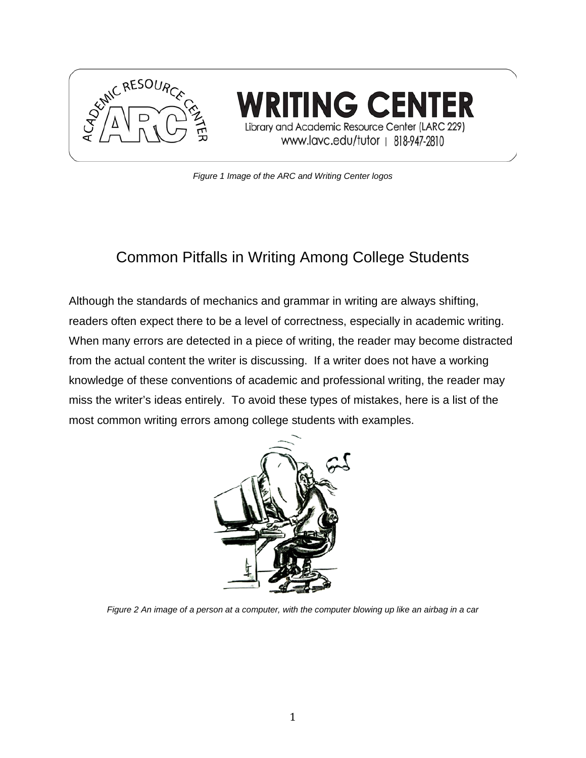

ING CENI Library and Academic Resource Center (LARC 229) www.lavc.edu/tutor | 818-947-2810

*Figure 1 Image of the ARC and Writing Center logos*

## Common Pitfalls in Writing Among College Students

Although the standards of mechanics and grammar in writing are always shifting, readers often expect there to be a level of correctness, especially in academic writing. When many errors are detected in a piece of writing, the reader may become distracted from the actual content the writer is discussing. If a writer does not have a working knowledge of these conventions of academic and professional writing, the reader may miss the writer's ideas entirely. To avoid these types of mistakes, here is a list of the most common writing errors among college students with examples.



*Figure 2 An image of a person at a computer, with the computer blowing up like an airbag in a car*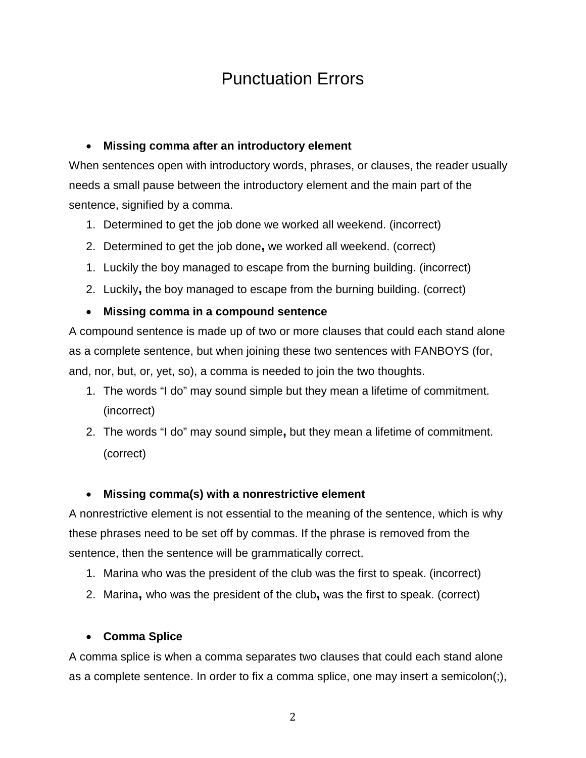# Punctuation Errors

#### • **Missing comma after an introductory element**

When sentences open with introductory words, phrases, or clauses, the reader usually needs a small pause between the introductory element and the main part of the sentence, signified by a comma.

- 1. Determined to get the job done we worked all weekend. (incorrect)
- 2. Determined to get the job done**,** we worked all weekend. (correct)
- 1. Luckily the boy managed to escape from the burning building. (incorrect)
- 2. Luckily**,** the boy managed to escape from the burning building. (correct)

#### • **Missing comma in a compound sentence**

A compound sentence is made up of two or more clauses that could each stand alone as a complete sentence, but when joining these two sentences with FANBOYS (for, and, nor, but, or, yet, so), a comma is needed to join the two thoughts.

- 1. The words "I do" may sound simple but they mean a lifetime of commitment. (incorrect)
- 2. The words "I do" may sound simple**,** but they mean a lifetime of commitment. (correct)

#### • **Missing comma(s) with a nonrestrictive element**

A nonrestrictive element is not essential to the meaning of the sentence, which is why these phrases need to be set off by commas. If the phrase is removed from the sentence, then the sentence will be grammatically correct.

- 1. Marina who was the president of the club was the first to speak. (incorrect)
- 2. Marina**,** who was the president of the club**,** was the first to speak. (correct)

#### • **Comma Splice**

A comma splice is when a comma separates two clauses that could each stand alone as a complete sentence. In order to fix a comma splice, one may insert a semicolon(;),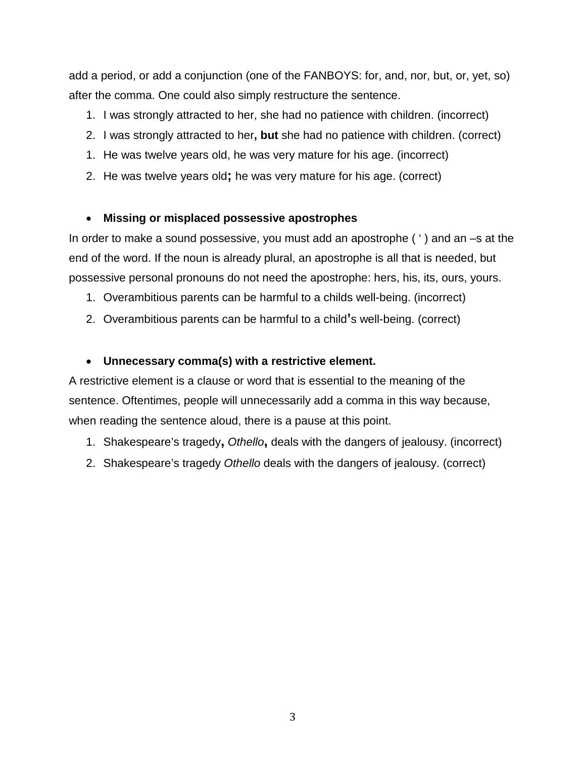add a period, or add a conjunction (one of the FANBOYS: for, and, nor, but, or, yet, so) after the comma. One could also simply restructure the sentence.

- 1. I was strongly attracted to her, she had no patience with children. (incorrect)
- 2. I was strongly attracted to her**, but** she had no patience with children. (correct)
- 1. He was twelve years old, he was very mature for his age. (incorrect)
- 2. He was twelve years old**;** he was very mature for his age. (correct)

#### • **Missing or misplaced possessive apostrophes**

In order to make a sound possessive, you must add an apostrophe ( ' ) and an –s at the end of the word. If the noun is already plural, an apostrophe is all that is needed, but possessive personal pronouns do not need the apostrophe: hers, his, its, ours, yours.

- 1. Overambitious parents can be harmful to a childs well-being. (incorrect)
- 2. Overambitious parents can be harmful to a child**'**s well-being. (correct)

#### • **Unnecessary comma(s) with a restrictive element.**

A restrictive element is a clause or word that is essential to the meaning of the sentence. Oftentimes, people will unnecessarily add a comma in this way because, when reading the sentence aloud, there is a pause at this point.

- 1. Shakespeare's tragedy**,** *Othello***,** deals with the dangers of jealousy. (incorrect)
- 2. Shakespeare's tragedy *Othello* deals with the dangers of jealousy. (correct)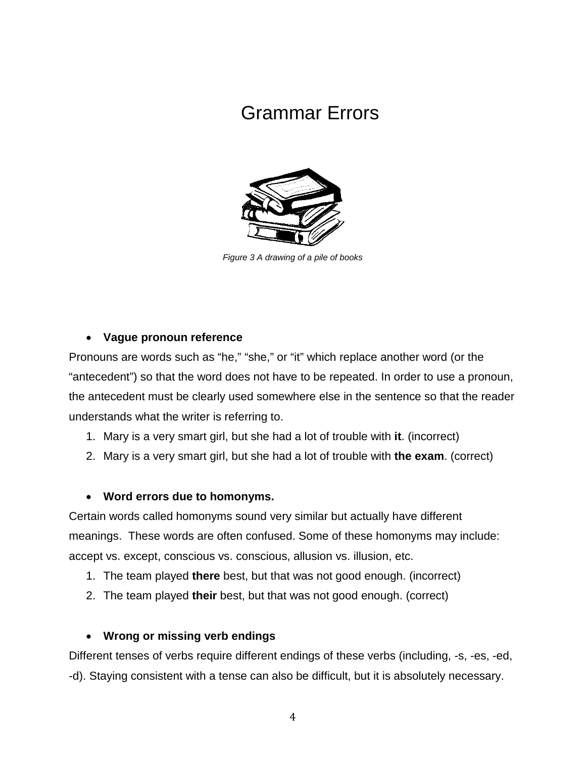# Grammar Errors



*Figure 3 A drawing of a pile of books*

#### • **Vague pronoun reference**

Pronouns are words such as "he," "she," or "it" which replace another word (or the "antecedent") so that the word does not have to be repeated. In order to use a pronoun, the antecedent must be clearly used somewhere else in the sentence so that the reader understands what the writer is referring to.

- 1. Mary is a very smart girl, but she had a lot of trouble with **it**. (incorrect)
- 2. Mary is a very smart girl, but she had a lot of trouble with **the exam**. (correct)

#### • **Word errors due to homonyms.**

Certain words called homonyms sound very similar but actually have different meanings. These words are often confused. Some of these homonyms may include: accept vs. except, conscious vs. conscious, allusion vs. illusion, etc.

- 1. The team played **there** best, but that was not good enough. (incorrect)
- 2. The team played **their** best, but that was not good enough. (correct)

#### • **Wrong or missing verb endings**

Different tenses of verbs require different endings of these verbs (including, -s, -es, -ed, -d). Staying consistent with a tense can also be difficult, but it is absolutely necessary.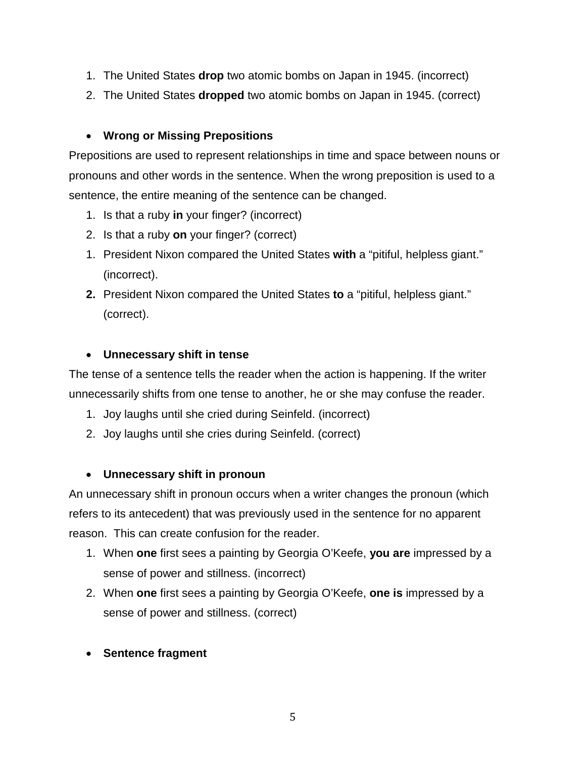- 1. The United States **drop** two atomic bombs on Japan in 1945. (incorrect)
- 2. The United States **dropped** two atomic bombs on Japan in 1945. (correct)

#### • **Wrong or Missing Prepositions**

Prepositions are used to represent relationships in time and space between nouns or pronouns and other words in the sentence. When the wrong preposition is used to a sentence, the entire meaning of the sentence can be changed.

- 1. Is that a ruby **in** your finger? (incorrect)
- 2. Is that a ruby **on** your finger? (correct)
- 1. President Nixon compared the United States **with** a "pitiful, helpless giant." (incorrect).
- **2.** President Nixon compared the United States **to** a "pitiful, helpless giant." (correct).

#### • **Unnecessary shift in tense**

The tense of a sentence tells the reader when the action is happening. If the writer unnecessarily shifts from one tense to another, he or she may confuse the reader.

- 1. Joy laughs until she cried during Seinfeld. (incorrect)
- 2. Joy laughs until she cries during Seinfeld. (correct)

#### • **Unnecessary shift in pronoun**

An unnecessary shift in pronoun occurs when a writer changes the pronoun (which refers to its antecedent) that was previously used in the sentence for no apparent reason. This can create confusion for the reader.

- 1. When **one** first sees a painting by Georgia O'Keefe, **you are** impressed by a sense of power and stillness. (incorrect)
- 2. When **one** first sees a painting by Georgia O'Keefe, **one is** impressed by a sense of power and stillness. (correct)
- **Sentence fragment**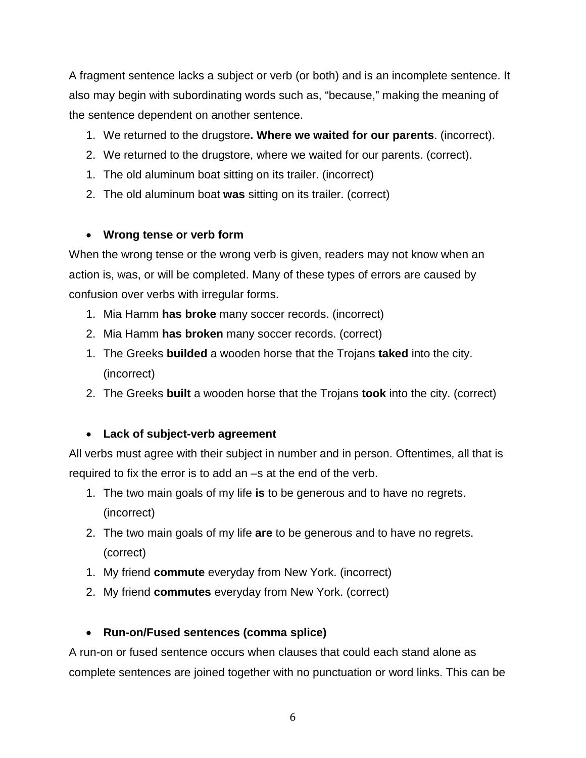A fragment sentence lacks a subject or verb (or both) and is an incomplete sentence. It also may begin with subordinating words such as, "because," making the meaning of the sentence dependent on another sentence.

- 1. We returned to the drugstore**. Where we waited for our parents**. (incorrect).
- 2. We returned to the drugstore, where we waited for our parents. (correct).
- 1. The old aluminum boat sitting on its trailer. (incorrect)
- 2. The old aluminum boat **was** sitting on its trailer. (correct)

#### • **Wrong tense or verb form**

When the wrong tense or the wrong verb is given, readers may not know when an action is, was, or will be completed. Many of these types of errors are caused by confusion over verbs with irregular forms.

- 1. Mia Hamm **has broke** many soccer records. (incorrect)
- 2. Mia Hamm **has broken** many soccer records. (correct)
- 1. The Greeks **builded** a wooden horse that the Trojans **taked** into the city. (incorrect)
- 2. The Greeks **built** a wooden horse that the Trojans **took** into the city. (correct)

### • **Lack of subject-verb agreement**

All verbs must agree with their subject in number and in person. Oftentimes, all that is required to fix the error is to add an –s at the end of the verb.

- 1. The two main goals of my life **is** to be generous and to have no regrets. (incorrect)
- 2. The two main goals of my life **are** to be generous and to have no regrets. (correct)
- 1. My friend **commute** everyday from New York. (incorrect)
- 2. My friend **commutes** everyday from New York. (correct)

### • **Run-on/Fused sentences (comma splice)**

A run-on or fused sentence occurs when clauses that could each stand alone as complete sentences are joined together with no punctuation or word links. This can be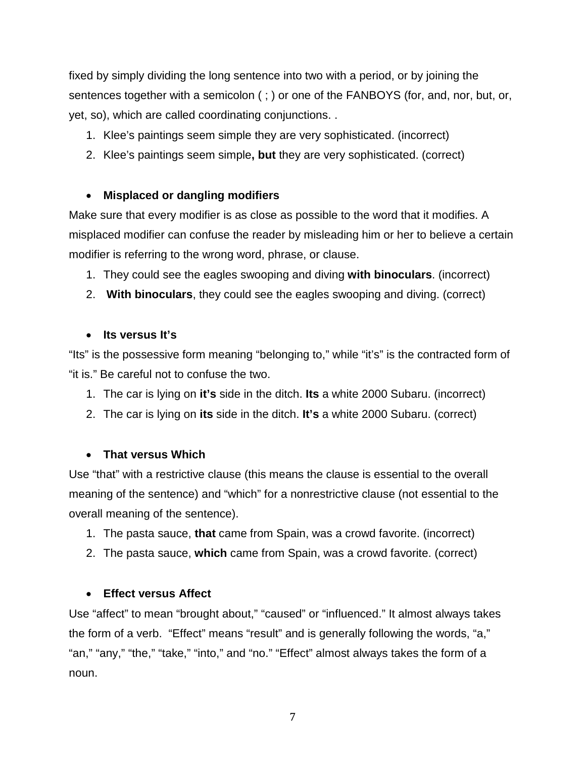fixed by simply dividing the long sentence into two with a period, or by joining the sentences together with a semicolon ( ; ) or one of the FANBOYS (for, and, nor, but, or, yet, so), which are called coordinating conjunctions. .

- 1. Klee's paintings seem simple they are very sophisticated. (incorrect)
- 2. Klee's paintings seem simple**, but** they are very sophisticated. (correct)

#### • **Misplaced or dangling modifiers**

Make sure that every modifier is as close as possible to the word that it modifies. A misplaced modifier can confuse the reader by misleading him or her to believe a certain modifier is referring to the wrong word, phrase, or clause.

- 1. They could see the eagles swooping and diving **with binoculars**. (incorrect)
- 2. **With binoculars**, they could see the eagles swooping and diving. (correct)

#### • **Its versus It's**

"Its" is the possessive form meaning "belonging to," while "it's" is the contracted form of "it is." Be careful not to confuse the two.

- 1. The car is lying on **it's** side in the ditch. **Its** a white 2000 Subaru. (incorrect)
- 2. The car is lying on **its** side in the ditch. **It's** a white 2000 Subaru. (correct)

#### • **That versus Which**

Use "that" with a restrictive clause (this means the clause is essential to the overall meaning of the sentence) and "which" for a nonrestrictive clause (not essential to the overall meaning of the sentence).

- 1. The pasta sauce, **that** came from Spain, was a crowd favorite. (incorrect)
- 2. The pasta sauce, **which** came from Spain, was a crowd favorite. (correct)

#### • **Effect versus Affect**

Use "affect" to mean "brought about," "caused" or "influenced." It almost always takes the form of a verb. "Effect" means "result" and is generally following the words, "a," "an," "any," "the," "take," "into," and "no." "Effect" almost always takes the form of a noun.

7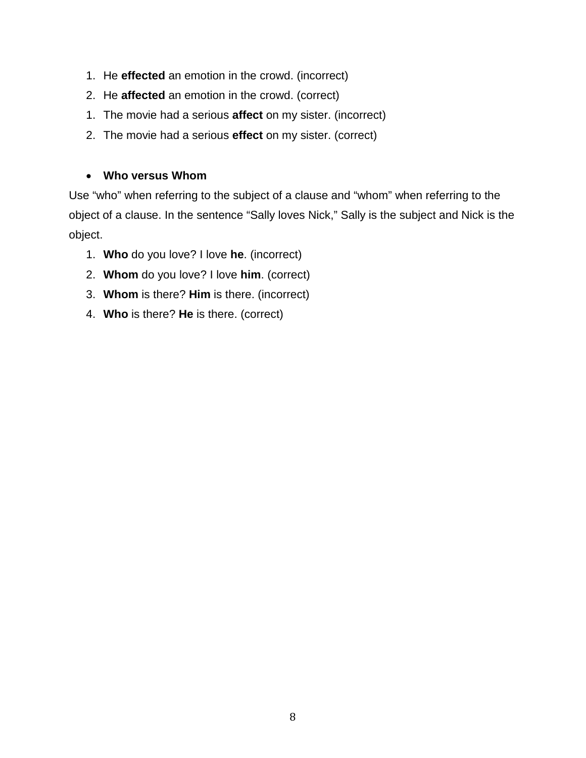- 1. He **effected** an emotion in the crowd. (incorrect)
- 2. He **affected** an emotion in the crowd. (correct)
- 1. The movie had a serious **affect** on my sister. (incorrect)
- 2. The movie had a serious **effect** on my sister. (correct)

#### • **Who versus Whom**

Use "who" when referring to the subject of a clause and "whom" when referring to the object of a clause. In the sentence "Sally loves Nick," Sally is the subject and Nick is the object.

- 1. **Who** do you love? I love **he**. (incorrect)
- 2. **Whom** do you love? I love **him**. (correct)
- 3. **Whom** is there? **Him** is there. (incorrect)
- 4. **Who** is there? **He** is there. (correct)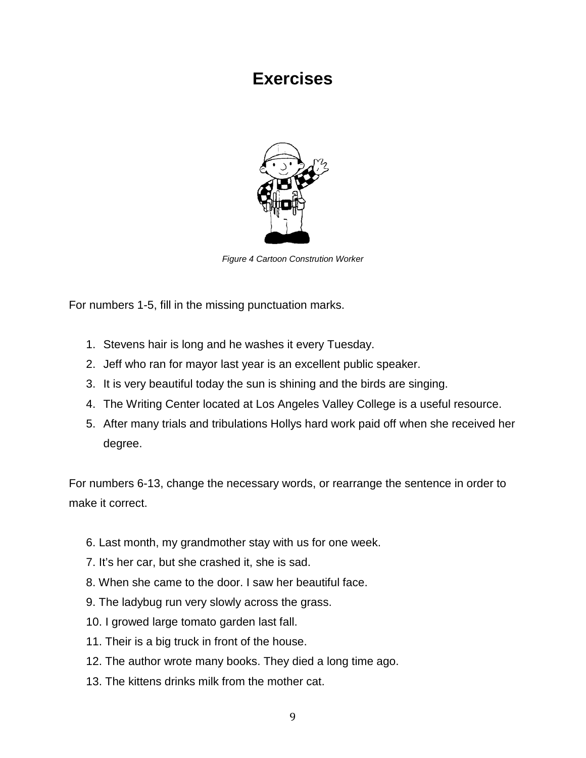## **Exercises**



*Figure 4 Cartoon Constrution Worker*

For numbers 1-5, fill in the missing punctuation marks.

- 1. Stevens hair is long and he washes it every Tuesday.
- 2. Jeff who ran for mayor last year is an excellent public speaker.
- 3. It is very beautiful today the sun is shining and the birds are singing.
- 4. The Writing Center located at Los Angeles Valley College is a useful resource.
- 5. After many trials and tribulations Hollys hard work paid off when she received her degree.

For numbers 6-13, change the necessary words, or rearrange the sentence in order to make it correct.

- 6. Last month, my grandmother stay with us for one week.
- 7. It's her car, but she crashed it, she is sad.
- 8. When she came to the door. I saw her beautiful face.
- 9. The ladybug run very slowly across the grass.
- 10. I growed large tomato garden last fall.
- 11. Their is a big truck in front of the house.
- 12. The author wrote many books. They died a long time ago.
- 13. The kittens drinks milk from the mother cat.